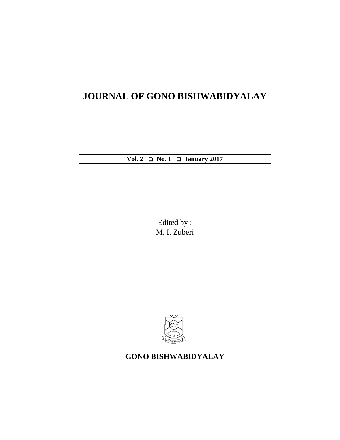# **JOURNAL OF GONO BISHWABIDYALAY**

**Vol. 2 No. 1 January 2017**

Edited by : M. I. Zuberi



## **GONO BISHWABIDYALAY**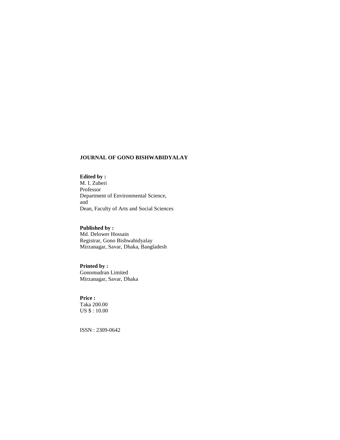#### **JOURNAL OF GONO BISHWABIDYALAY**

### **Edited by :**

M. I. Zuberi Professor Department of Environmental Science, and Dean, Faculty of Arts and Social Sciences

### **Published by :**

Md. Delower Hossain Registrar, Gono Bishwabidyalay Mirzanagar, Savar, Dhaka, Bangladesh

#### **Printed by :**

Gonomudran Limited Mirzanagar, Savar, Dhaka

#### **Price :**

Taka 200.00 US \$ : 10.00

ISSN : 2309-0642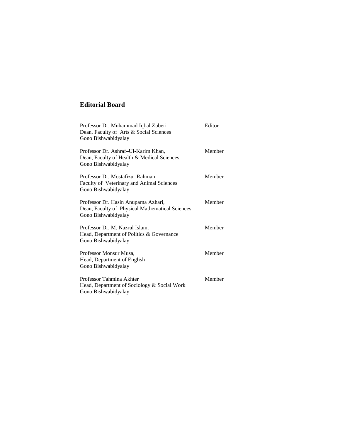### **Editorial Board**

| Professor Dr. Muhammad Iqbal Zuberi<br>Dean, Faculty of Arts & Social Sciences<br>Gono Bishwabidyalay         | Editor |
|---------------------------------------------------------------------------------------------------------------|--------|
| Professor Dr. Ashraf-Ul-Karim Khan,<br>Dean, Faculty of Health & Medical Sciences,<br>Gono Bishwabidyalay     | Member |
| Professor Dr. Mostafizur Rahman<br>Faculty of Veterinary and Animal Sciences<br>Gono Bishwabidyalay           | Member |
| Professor Dr. Hasin Anupama Azhari,<br>Dean, Faculty of Physical Mathematical Sciences<br>Gono Bishwabidyalay | Member |
| Professor Dr. M. Nazrul Islam,<br>Head, Department of Politics & Governance<br>Gono Bishwabidyalay            | Member |
| Professor Monsur Musa,<br>Head, Department of English<br>Gono Bishwabidyalay                                  | Member |
| Professor Tahmina Akhter<br>Head, Department of Sociology & Social Work<br>Gono Bishwabidyalay                | Member |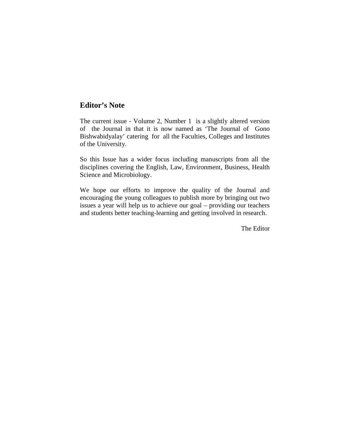### **Editor's Note**

The current issue - Volume 2, Number 1 is a slightly altered version of the Journal in that it is now named as 'The Journal of Gono Bishwabidyalay' catering for all the Faculties, Colleges and Institutes of the University.

So this Issue has a wider focus including manuscripts from all the disciplines covering the English, Law, Environment, Business, Health Science and Microbiology.

We hope our efforts to improve the quality of the Journal and encouraging the young colleagues to publish more by bringing out two issues a year will help us to achieve our goal – providing our teachers and students better teaching-learning and getting involved in research.

The Editor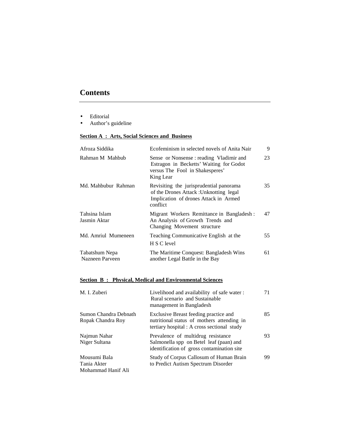### **Contents**

- Editorial
- Author's guideline

### **Section A : Arts, Social Sciences and Business**

| Afroza Siddika                    | Ecofeminism in selected novels of Anita Nair                                                                                            | 9  |
|-----------------------------------|-----------------------------------------------------------------------------------------------------------------------------------------|----|
| Rahman M Mahbub                   | Sense or Nonsense : reading Vladimir and<br>Estragon in Becketts' Waiting for Godot<br>versus The Fool in Shakesperes'<br>King Lear     | 23 |
| Md. Mahbubur Rahman               | Revisiting the jurisprudential panorama<br>of the Drones Attack : Unknotting legal<br>Implication of drones Attack in Armed<br>conflict | 35 |
| Tahsina Islam<br>Jasmin Aktar     | Migrant Workers Remittance in Bangladesh:<br>An Analysis of Growth Trends and<br>Changing Movement structure                            | 47 |
| Md. Amriul Mumeneen               | Teaching Communicative English at the<br>H S C level                                                                                    | 55 |
| Tabatshum Nepa<br>Nazneen Parveen | The Maritime Conquest: Bangladesh Wins<br>another Legal Battle in the Bay                                                               | 61 |

### **Section B : Physical, Medical and Environmental Sciences**

| M. I. Zuberi                                      | Livelihood and availability of safe water:<br>Rural scenario and Sustainable<br>management in Bangladesh                           | 71 |
|---------------------------------------------------|------------------------------------------------------------------------------------------------------------------------------------|----|
| Sumon Chandra Debnath<br>Ropak Chandra Roy        | Exclusive Breast feeding practice and<br>nutritional status of mothers attending in<br>tertiary hospital : A cross sectional study | 85 |
| Najmun Nahar<br>Niger Sultana                     | Prevalence of multidrug resistance<br>Salmonella spp on Betel leaf (paan) and<br>identification of gross contamination site        | 93 |
| Mousumi Bala<br>Tania Akter<br>Mohammad Hanif Ali | Study of Corpus Callosum of Human Brain<br>to Predict Autism Spectrum Disorder                                                     | 99 |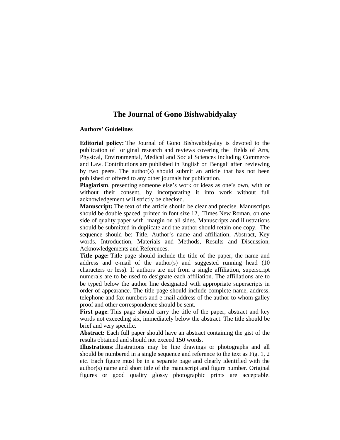### **The Journal of Gono Bishwabidyalay**

#### **Authors' Guidelines**

**Editorial policy:** The Journal of Gono Bishwabidyalay is devoted to the publication of original research and reviews covering the fields of Arts, Physical, Environmental, Medical and Social Sciences including Commerce and Law. Contributions are published in English or Bengali after reviewing by two peers. The author(s) should submit an article that has not been published or offered to any other journals for publication.

**Plagiarism**, presenting someone else's work or ideas as one's own, with or without their consent, by incorporating it into work without full acknowledgement will strictly be checked.

**Manuscript:** The text of the article should be clear and precise. Manuscripts should be double spaced, printed in font size 12, Times New Roman, on one side of quality paper with margin on all sides. Manuscripts and illustrations should be submitted in duplicate and the author should retain one copy. The sequence should be: Title, Author's name and affiliation, Abstract, Key words, Introduction, Materials and Methods, Results and Discussion, Acknowledgements and References.

**Title page:** Title page should include the title of the paper, the name and address and e-mail of the author(s) and suggested running head (10 characters or less). If authors are not from a single affiliation, superscript numerals are to be used to designate each affiliation. The affiliations are to be typed below the author line designated with appropriate superscripts in order of appearance. The title page should include complete name, address, telephone and fax numbers and e-mail address of the author to whom galley proof and other correspondence should be sent.

**First page**: This page should carry the title of the paper, abstract and key words not exceeding six, immediately below the abstract. The title should be brief and very specific.

**Abstract:** Each full paper should have an abstract containing the gist of the results obtained and should not exceed 150 words.

**Illustrations**: Illustrations may be line drawings or photographs and all should be numbered in a single sequence and reference to the text as Fig. 1, 2 etc. Each figure must be in a separate page and clearly identified with the author(s) name and short title of the manuscript and figure number. Original figures or good quality glossy photographic prints are acceptable.